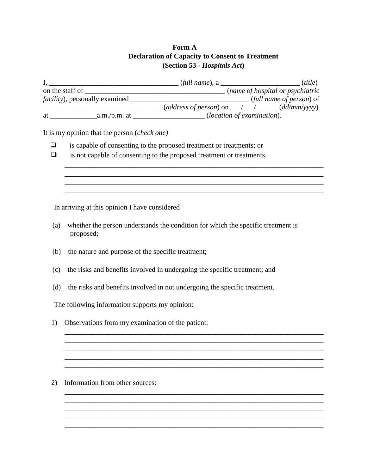## **Form A Declaration of Capacity to Consent to Treatment (Section 53 -** *Hospitals Act***)**

|                                        |                | $(full name)$ , a                                                     |  |  | ( <i>title</i> )         |
|----------------------------------------|----------------|-----------------------------------------------------------------------|--|--|--------------------------|
| on the staff of                        |                | (name of hospital or psychiatric                                      |  |  |                          |
| <i>facility</i> ), personally examined |                |                                                                       |  |  | (full name of person) of |
|                                        |                | $\text{(address of person)}$ on $\_\_\_\_\_\_\_\_\_\_\_$ (dd/mm/yyyy) |  |  |                          |
| at                                     | $a.m./p.m.$ at | ( <i>location of examination</i> ).                                   |  |  |                          |

\_\_\_\_\_\_\_\_\_\_\_\_\_\_\_\_\_\_\_\_\_\_\_\_\_\_\_\_\_\_\_\_\_\_\_\_\_\_\_\_\_\_\_\_\_\_\_\_\_\_\_\_\_\_\_\_\_\_\_\_\_\_\_\_\_\_\_\_\_\_\_\_ \_\_\_\_\_\_\_\_\_\_\_\_\_\_\_\_\_\_\_\_\_\_\_\_\_\_\_\_\_\_\_\_\_\_\_\_\_\_\_\_\_\_\_\_\_\_\_\_\_\_\_\_\_\_\_\_\_\_\_\_\_\_\_\_\_\_\_\_\_\_\_\_ \_\_\_\_\_\_\_\_\_\_\_\_\_\_\_\_\_\_\_\_\_\_\_\_\_\_\_\_\_\_\_\_\_\_\_\_\_\_\_\_\_\_\_\_\_\_\_\_\_\_\_\_\_\_\_\_\_\_\_\_\_\_\_\_\_\_\_\_\_\_\_\_ \_\_\_\_\_\_\_\_\_\_\_\_\_\_\_\_\_\_\_\_\_\_\_\_\_\_\_\_\_\_\_\_\_\_\_\_\_\_\_\_\_\_\_\_\_\_\_\_\_\_\_\_\_\_\_\_\_\_\_\_\_\_\_\_\_\_\_\_\_\_\_\_

\_\_\_\_\_\_\_\_\_\_\_\_\_\_\_\_\_\_\_\_\_\_\_\_\_\_\_\_\_\_\_\_\_\_\_\_\_\_\_\_\_\_\_\_\_\_\_\_\_\_\_\_\_\_\_\_\_\_\_\_\_\_\_\_\_\_\_\_\_\_\_\_ \_\_\_\_\_\_\_\_\_\_\_\_\_\_\_\_\_\_\_\_\_\_\_\_\_\_\_\_\_\_\_\_\_\_\_\_\_\_\_\_\_\_\_\_\_\_\_\_\_\_\_\_\_\_\_\_\_\_\_\_\_\_\_\_\_\_\_\_\_\_\_\_ \_\_\_\_\_\_\_\_\_\_\_\_\_\_\_\_\_\_\_\_\_\_\_\_\_\_\_\_\_\_\_\_\_\_\_\_\_\_\_\_\_\_\_\_\_\_\_\_\_\_\_\_\_\_\_\_\_\_\_\_\_\_\_\_\_\_\_\_\_\_\_\_

\_\_\_\_\_\_\_\_\_\_\_\_\_\_\_\_\_\_\_\_\_\_\_\_\_\_\_\_\_\_\_\_\_\_\_\_\_\_\_\_\_\_\_\_\_\_\_\_\_\_\_\_\_\_\_\_\_\_\_\_\_\_\_\_\_\_\_\_\_\_\_\_

\_\_\_\_\_\_\_\_\_\_\_\_\_\_\_\_\_\_\_\_\_\_\_\_\_\_\_\_\_\_\_\_\_\_\_\_\_\_\_\_\_\_\_\_\_\_\_\_\_\_\_\_\_\_\_\_\_\_\_\_\_\_\_\_\_\_\_\_\_\_\_\_ \_\_\_\_\_\_\_\_\_\_\_\_\_\_\_\_\_\_\_\_\_\_\_\_\_\_\_\_\_\_\_\_\_\_\_\_\_\_\_\_\_\_\_\_\_\_\_\_\_\_\_\_\_\_\_\_\_\_\_\_\_\_\_\_\_\_\_\_\_\_\_\_ \_\_\_\_\_\_\_\_\_\_\_\_\_\_\_\_\_\_\_\_\_\_\_\_\_\_\_\_\_\_\_\_\_\_\_\_\_\_\_\_\_\_\_\_\_\_\_\_\_\_\_\_\_\_\_\_\_\_\_\_\_\_\_\_\_\_\_\_\_\_\_\_ \_\_\_\_\_\_\_\_\_\_\_\_\_\_\_\_\_\_\_\_\_\_\_\_\_\_\_\_\_\_\_\_\_\_\_\_\_\_\_\_\_\_\_\_\_\_\_\_\_\_\_\_\_\_\_\_\_\_\_\_\_\_\_\_\_\_\_\_\_\_\_\_ \_\_\_\_\_\_\_\_\_\_\_\_\_\_\_\_\_\_\_\_\_\_\_\_\_\_\_\_\_\_\_\_\_\_\_\_\_\_\_\_\_\_\_\_\_\_\_\_\_\_\_\_\_\_\_\_\_\_\_\_\_\_\_\_\_\_\_\_\_\_\_\_

It is my opinion that the person (*check one)*

- ❑ is capable of consenting to the proposed treatment or treatments; or
- ❑ is not capable of consenting to the proposed treatment or treatments.

In arriving at this opinion I have considered

- (a) whether the person understands the condition for which the specific treatment is proposed;
- (b) the nature and purpose of the specific treatment;
- (c) the risks and benefits involved in undergoing the specific treatment; and
- (d) the risks and benefits involved in not undergoing the specific treatment.

The following information supports my opinion:

1) Observations from my examination of the patient:

2) Information from other sources: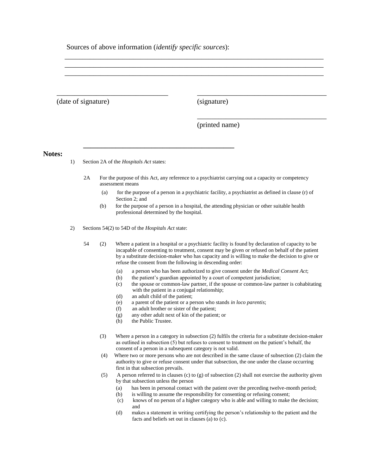Sources of above information (*identify specific sources*):

**\_\_\_\_\_\_\_\_\_\_\_\_\_\_\_\_\_\_\_\_\_\_\_\_\_\_\_\_\_\_\_\_\_\_\_\_\_\_\_\_\_\_**

(date of signature)

(signature)

\_\_\_\_\_\_\_\_\_\_\_\_\_\_\_\_\_\_\_\_\_\_\_\_\_\_\_\_\_\_\_\_\_\_\_\_\_\_\_\_\_\_\_\_\_\_\_\_\_\_\_\_\_\_\_\_\_\_\_\_\_\_\_\_\_\_\_\_\_\_\_\_ \_\_\_\_\_\_\_\_\_\_\_\_\_\_\_\_\_\_\_\_\_\_\_\_\_\_\_\_\_\_\_\_\_\_\_\_\_\_\_\_\_\_\_\_\_\_\_\_\_\_\_\_\_\_\_\_\_\_\_\_\_\_\_\_\_\_\_\_\_\_\_\_ \_\_\_\_\_\_\_\_\_\_\_\_\_\_\_\_\_\_\_\_\_\_\_\_\_\_\_\_\_\_\_\_\_\_\_\_\_\_\_\_\_\_\_\_\_\_\_\_\_\_\_\_\_\_\_\_\_\_\_\_\_\_\_\_\_\_\_\_\_\_\_\_

(printed name)

\_\_\_\_\_\_\_\_\_\_\_\_\_\_\_\_\_\_\_\_\_\_\_\_\_\_\_\_\_\_\_\_\_\_\_\_

\_\_\_\_\_\_\_\_\_\_\_\_\_\_\_\_\_\_\_\_\_\_\_\_\_\_\_\_\_\_\_\_\_\_\_\_

**Notes:**

1) Section 2A of the *Hospitals Act* states:

\_\_\_\_\_\_\_\_\_\_\_\_\_\_\_\_\_\_\_\_\_\_\_\_\_\_\_\_\_\_\_

- 2A For the purpose of this Act, any reference to a psychiatrist carrying out a capacity or competency assessment means
	- (a) for the purpose of a person in a psychiatric facility, a psychiatrist as defined in clause (r) of Section 2; and
	- (b) for the purpose of a person in a hospital, the attending physician or other suitable health professional determined by the hospital.

2) Sections 54(2) to 54D of the *Hospitals Act* state:

 54 (2) Where a patient in a hospital or a psychiatric facility is found by declaration of capacity to be incapable of consenting to treatment, consent may be given or refused on behalf of the patient by a substitute decision-maker who has capacity and is willing to make the decision to give or refuse the consent from the following in descending order:

- (a) a person who has been authorized to give consent under the *Medical Consent Act*;
- (b) the patient's guardian appointed by a court of competent jurisdiction;
- (c) the spouse or common-law partner, if the spouse or common-law partner is cohabitating with the patient in a conjugal relationship;
- (d) an adult child of the patient;
- (e) a parent of the patient or a person who stands *in loco parentis*;
- (f) an adult brother or sister of the patient;
- (g) any other adult next of kin of the patient; or
- (h) the Public Trustee.
- (3) Where a person in a category in subsection (2) fulfils the criteria for a substitute decision-maker as outlined in subsection (5) but refuses to consent to treatment on the patient's behalf, the consent of a person in a subsequent category is not valid.
- (4) Where two or more persons who are not described in the same clause of subsection (2) claim the authority to give or refuse consent under that subsection, the one under the clause occurring first in that subsection prevails.
- (5) A person referred to in clauses (c) to (g) of subsection (2) shall not exercise the authority given by that subsection unless the person
	- (a) has been in personal contact with the patient over the preceding twelve-month period;
	- (b) is willing to assume the responsibility for consenting or refusing consent;
	- (c) knows of no person of a higher category who is able and willing to make the decision; and
	- (d) makes a statement in writing certifying the person's relationship to the patient and the facts and beliefs set out in clauses (a) to (c).